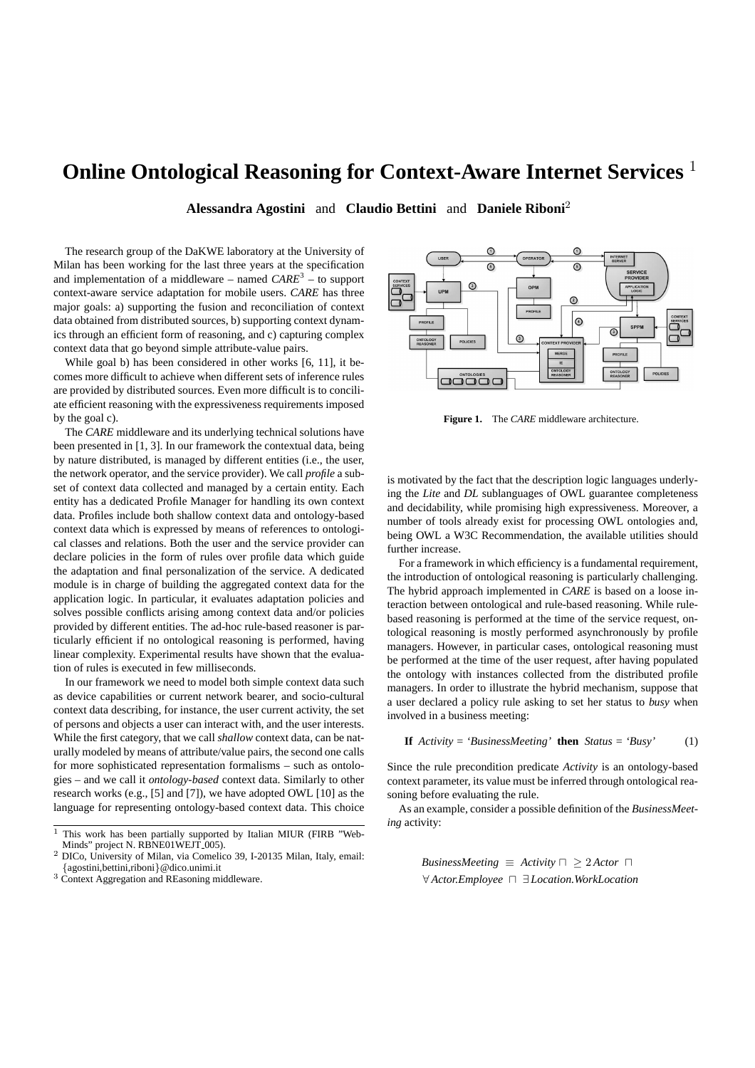## **Online Ontological Reasoning for Context-Aware Internet Services** <sup>1</sup>

**Alessandra Agostini** and **Claudio Bettini** and **Daniele Riboni**<sup>2</sup>

The research group of the DaKWE laboratory at the University of Milan has been working for the last three years at the specification and implementation of a middleware – named *CARE*<sup>3</sup> – to support context-aware service adaptation for mobile users. *CARE* has three major goals: a) supporting the fusion and reconciliation of context data obtained from distributed sources, b) supporting context dynamics through an efficient form of reasoning, and c) capturing complex context data that go beyond simple attribute-value pairs.

While goal b) has been considered in other works [6, 11], it becomes more difficult to achieve when different sets of inference rules are provided by distributed sources. Even more difficult is to conciliate efficient reasoning with the expressiveness requirements imposed by the goal c).

The *CARE* middleware and its underlying technical solutions have been presented in [1, 3]. In our framework the contextual data, being by nature distributed, is managed by different entities (i.e., the user, the network operator, and the service provider). We call *profile* a subset of context data collected and managed by a certain entity. Each entity has a dedicated Profile Manager for handling its own context data. Profiles include both shallow context data and ontology-based context data which is expressed by means of references to ontological classes and relations. Both the user and the service provider can declare policies in the form of rules over profile data which guide the adaptation and final personalization of the service. A dedicated module is in charge of building the aggregated context data for the application logic. In particular, it evaluates adaptation policies and solves possible conflicts arising among context data and/or policies provided by different entities. The ad-hoc rule-based reasoner is particularly efficient if no ontological reasoning is performed, having linear complexity. Experimental results have shown that the evaluation of rules is executed in few milliseconds.

In our framework we need to model both simple context data such as device capabilities or current network bearer, and socio-cultural context data describing, for instance, the user current activity, the set of persons and objects a user can interact with, and the user interests. While the first category, that we call *shallow* context data, can be naturally modeled by means of attribute/value pairs, the second one calls for more sophisticated representation formalisms – such as ontologies – and we call it *ontology-based* context data. Similarly to other research works (e.g., [5] and [7]), we have adopted OWL [10] as the language for representing ontology-based context data. This choice

<sup>3</sup> Context Aggregation and REasoning middleware.



**Figure 1.** The *CARE* middleware architecture.

is motivated by the fact that the description logic languages underlying the *Lite* and *DL* sublanguages of OWL guarantee completeness and decidability, while promising high expressiveness. Moreover, a number of tools already exist for processing OWL ontologies and, being OWL a W3C Recommendation, the available utilities should further increase.

For a framework in which efficiency is a fundamental requirement, the introduction of ontological reasoning is particularly challenging. The hybrid approach implemented in *CARE* is based on a loose interaction between ontological and rule-based reasoning. While rulebased reasoning is performed at the time of the service request, ontological reasoning is mostly performed asynchronously by profile managers. However, in particular cases, ontological reasoning must be performed at the time of the user request, after having populated the ontology with instances collected from the distributed profile managers. In order to illustrate the hybrid mechanism, suppose that a user declared a policy rule asking to set her status to *busy* when involved in a business meeting:

**If** 
$$
Activity = 'Business Meeting' then Status = 'Busy'
$$
 (1)

Since the rule precondition predicate *Activity* is an ontology-based context parameter, its value must be inferred through ontological reasoning before evaluating the rule.

As an example, consider a possible definition of the *BusinessMeeting* activity:

> *BusinessMeeting*  $\equiv$  *Activity*  $\sqcap \geq 2$  *Actor*  $\sqcap$ ∀ *Actor.Employee* u ∃ *Location.WorkLocation*

This work has been partially supported by Italian MIUR (FIRB "Web-Minds" project N. RBNE01WEJT\_005).

<sup>2</sup> DICo, University of Milan, via Comelico 39, I-20135 Milan, Italy, email: {agostini,bettini,riboni}@dico.unimi.it